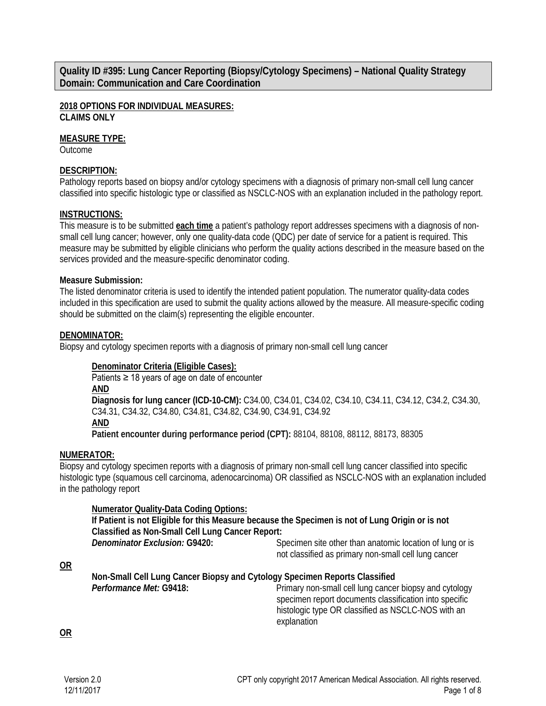**Quality ID #395: Lung Cancer Reporting (Biopsy/Cytology Specimens) – National Quality Strategy Domain: Communication and Care Coordination**

**2018 OPTIONS FOR INDIVIDUAL MEASURES: CLAIMS ONLY**

#### **MEASURE TYPE:**

**Outcome** 

### **DESCRIPTION:**

Pathology reports based on biopsy and/or cytology specimens with a diagnosis of primary non-small cell lung cancer classified into specific histologic type or classified as NSCLC-NOS with an explanation included in the pathology report.

### **INSTRUCTIONS:**

This measure is to be submitted **each time** a patient's pathology report addresses specimens with a diagnosis of nonsmall cell lung cancer; however, only one quality-data code (QDC) per date of service for a patient is required. This measure may be submitted by eligible clinicians who perform the quality actions described in the measure based on the services provided and the measure-specific denominator coding.

### **Measure Submission:**

The listed denominator criteria is used to identify the intended patient population. The numerator quality-data codes included in this specification are used to submit the quality actions allowed by the measure. All measure-specific coding should be submitted on the claim(s) representing the eligible encounter.

### **DENOMINATOR:**

Biopsy and cytology specimen reports with a diagnosis of primary non-small cell lung cancer

## **Denominator Criteria (Eligible Cases):**

Patients ≥ 18 years of age on date of encounter **AND Diagnosis for lung cancer (ICD-10-CM):** C34.00, C34.01, C34.02, C34.10, C34.11, C34.12, C34.2, C34.30, C34.31, C34.32, C34.80, C34.81, C34.82, C34.90, C34.91, C34.92 **AND Patient encounter during performance period (CPT):** 88104, 88108, 88112, 88173, 88305

#### **NUMERATOR:**

Biopsy and cytology specimen reports with a diagnosis of primary non-small cell lung cancer classified into specific histologic type (squamous cell carcinoma, adenocarcinoma) OR classified as NSCLC-NOS with an explanation included in the pathology report

#### **Numerator Quality-Data Coding Options:**

**If Patient is not Eligible for this Measure because the Specimen is not of Lung Origin or is not Classified as Non-Small Cell Lung Cancer Report:**

**Denominator Exclusion: G9420:** Specimen site other than anatomic location of lung or is not classified as primary non-small cell lung cancer

**OR**

**Non-Small Cell Lung Cancer Biopsy and Cytology Specimen Reports Classified Performance Met: G9418:** Primary non-small cell lung cancer biopsy and cytology

specimen report documents classification into specific histologic type OR classified as NSCLC-NOS with an explanation

**OR**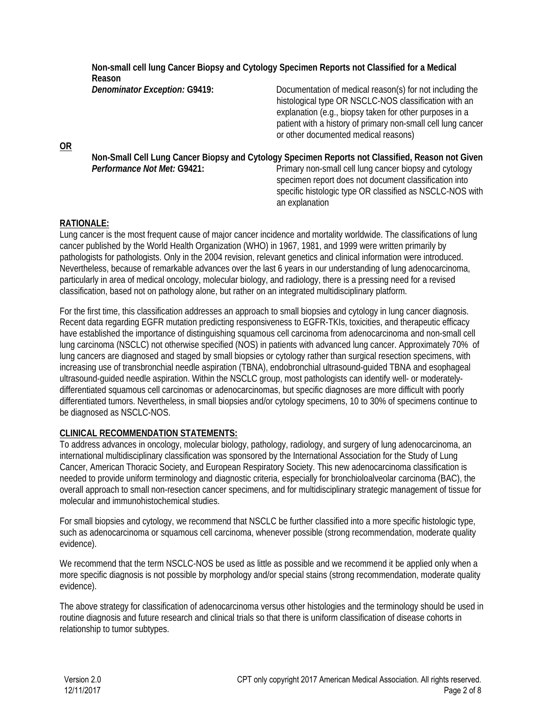| Non-small cell lung Cancer Biopsy and Cytology Specimen Reports not Classified for a Medical<br>Reason |                                                                                                                                                                                                                                                                                      |
|--------------------------------------------------------------------------------------------------------|--------------------------------------------------------------------------------------------------------------------------------------------------------------------------------------------------------------------------------------------------------------------------------------|
| <b>Denominator Exception: G9419:</b>                                                                   | Documentation of medical reason(s) for not including the<br>histological type OR NSCLC-NOS classification with an<br>explanation (e.g., biopsy taken for other purposes in a<br>patient with a history of primary non-small cell lung cancer<br>or other documented medical reasons) |
| Non-Small Cell Lung Cancer Biopsy and Cytology Specimen Reports not Classified, Reason not Given       |                                                                                                                                                                                                                                                                                      |
| Performance Not Met: G9421:                                                                            | Primary non-small cell lung cancer biopsy and cytology<br>specimen report does not document classification into<br>specific histologic type OR classified as NSCLC-NOS with<br>an explanation                                                                                        |

## **RATIONALE:**

**OR**

Lung cancer is the most frequent cause of major cancer incidence and mortality worldwide. The classifications of lung cancer published by the World Health Organization (WHO) in 1967, 1981, and 1999 were written primarily by pathologists for pathologists. Only in the 2004 revision, relevant genetics and clinical information were introduced. Nevertheless, because of remarkable advances over the last 6 years in our understanding of lung adenocarcinoma, particularly in area of medical oncology, molecular biology, and radiology, there is a pressing need for a revised classification, based not on pathology alone, but rather on an integrated multidisciplinary platform.

For the first time, this classification addresses an approach to small biopsies and cytology in lung cancer diagnosis. Recent data regarding EGFR mutation predicting responsiveness to EGFR-TKIs, toxicities, and therapeutic efficacy have established the importance of distinguishing squamous cell carcinoma from adenocarcinoma and non-small cell lung carcinoma (NSCLC) not otherwise specified (NOS) in patients with advanced lung cancer. Approximately 70% of lung cancers are diagnosed and staged by small biopsies or cytology rather than surgical resection specimens, with increasing use of transbronchial needle aspiration (TBNA), endobronchial ultrasound-guided TBNA and esophageal ultrasound-guided needle aspiration. Within the NSCLC group, most pathologists can identify well- or moderatelydifferentiated squamous cell carcinomas or adenocarcinomas, but specific diagnoses are more difficult with poorly differentiated tumors. Nevertheless, in small biopsies and/or cytology specimens, 10 to 30% of specimens continue to be diagnosed as NSCLC-NOS.

## **CLINICAL RECOMMENDATION STATEMENTS:**

To address advances in oncology, molecular biology, pathology, radiology, and surgery of lung adenocarcinoma, an international multidisciplinary classification was sponsored by the International Association for the Study of Lung Cancer, American Thoracic Society, and European Respiratory Society. This new adenocarcinoma classification is needed to provide uniform terminology and diagnostic criteria, especially for bronchioloalveolar carcinoma (BAC), the overall approach to small non-resection cancer specimens, and for multidisciplinary strategic management of tissue for molecular and immunohistochemical studies.

For small biopsies and cytology, we recommend that NSCLC be further classified into a more specific histologic type, such as adenocarcinoma or squamous cell carcinoma, whenever possible (strong recommendation, moderate quality evidence).

We recommend that the term NSCLC-NOS be used as little as possible and we recommend it be applied only when a more specific diagnosis is not possible by morphology and/or special stains (strong recommendation, moderate quality evidence).

The above strategy for classification of adenocarcinoma versus other histologies and the terminology should be used in routine diagnosis and future research and clinical trials so that there is uniform classification of disease cohorts in relationship to tumor subtypes.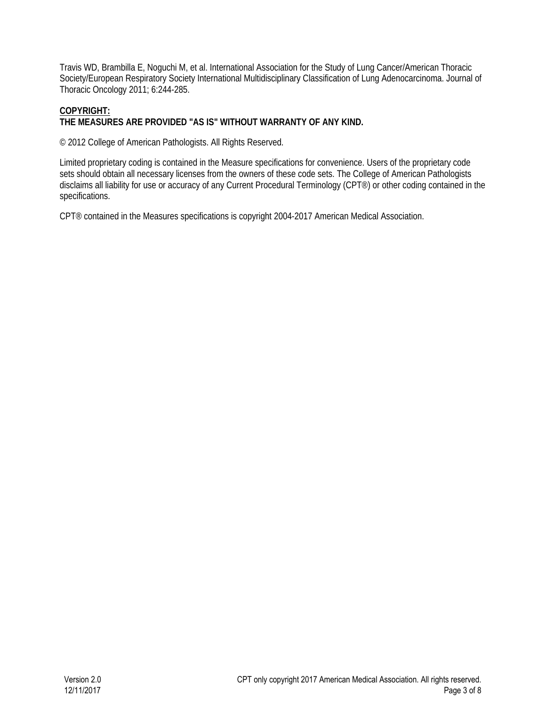Travis WD, Brambilla E, Noguchi M, et al. International Association for the Study of Lung Cancer/American Thoracic Society/European Respiratory Society International Multidisciplinary Classification of Lung Adenocarcinoma. Journal of Thoracic Oncology 2011; 6:244-285.

### **COPYRIGHT: THE MEASURES ARE PROVIDED "AS IS" WITHOUT WARRANTY OF ANY KIND.**

© 2012 College of American Pathologists. All Rights Reserved.

Limited proprietary coding is contained in the Measure specifications for convenience. Users of the proprietary code sets should obtain all necessary licenses from the owners of these code sets. The College of American Pathologists disclaims all liability for use or accuracy of any Current Procedural Terminology (CPT®) or other coding contained in the specifications.

CPT® contained in the Measures specifications is copyright 2004-2017 American Medical Association.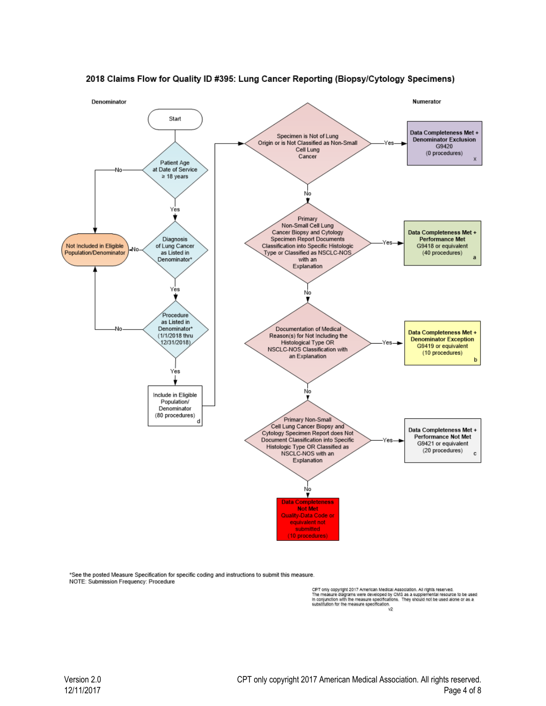

#### 2018 Claims Flow for Quality ID #395: Lung Cancer Reporting (Biopsy/Cytology Specimens)

\*See the posted Measure Specification for specific coding and instructions to submit this measure. NOTE: Submission Frequency: Procedure

CPT only copyright 2017 American Medical Association. All rights reserved.<br>The measure diagrams were developed by CMS as a supplemental resource to be used<br>In conjunction with the measure specifications. They should not be v2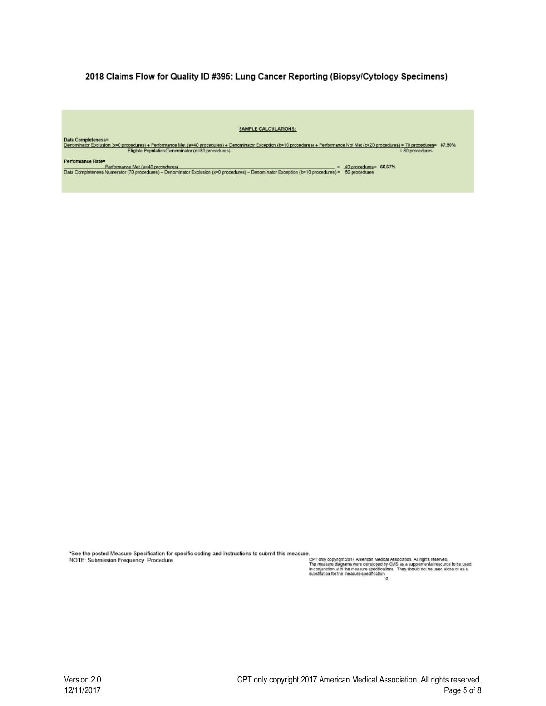#### 2018 Claims Flow for Quality ID #395: Lung Cancer Reporting (Biopsy/Cytology Specimens)

#### **SAMPLE CALCULATIONS:**

Data Completeness=<br>Denominator Exclusion (x=0 procedures) + Performance Met (a=40 procedures) + Denominator Exception (b=10 procedures) + Performance Not Met (c=20 procedures) = 70 procedures= 87.50%<br>= 80 procedures<br>-

Performance Rate=<br>Performance Met (a=40 procedures)<br>Data Completeness Numerator (70 procedures) – Denominator Exclusion (x=0 procedures) – Denominator Exception (b=10 procedures) = 60 proceduress

\*See the posted Measure Specification for specific coding and instructions to submit this measure. NOTE: Submission Frequency: Procedure

e.<br>CPT only copyright 2017 American Medical Association. All rights reserved.<br>The measure diagrams were developed by CMS as a supplemental resource to be used<br>in conjunction with the measure specification.<br>substitution for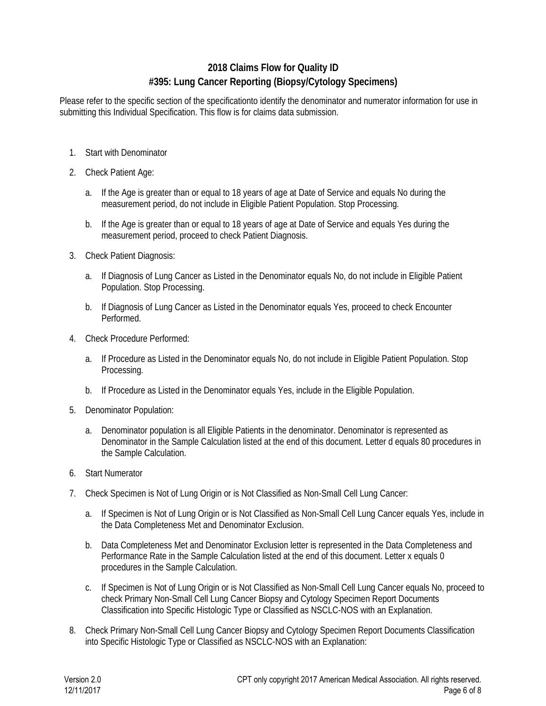# **2018 Claims Flow for Quality ID #395: Lung Cancer Reporting (Biopsy/Cytology Specimens)**

Please refer to the specific section of the specificationto identify the denominator and numerator information for use in submitting this Individual Specification. This flow is for claims data submission.

- 1. Start with Denominator
- 2. Check Patient Age:
	- a. If the Age is greater than or equal to 18 years of age at Date of Service and equals No during the measurement period, do not include in Eligible Patient Population. Stop Processing.
	- b. If the Age is greater than or equal to 18 years of age at Date of Service and equals Yes during the measurement period, proceed to check Patient Diagnosis.
- 3. Check Patient Diagnosis:
	- a. If Diagnosis of Lung Cancer as Listed in the Denominator equals No, do not include in Eligible Patient Population. Stop Processing.
	- b. If Diagnosis of Lung Cancer as Listed in the Denominator equals Yes, proceed to check Encounter Performed.
- 4. Check Procedure Performed:
	- a. If Procedure as Listed in the Denominator equals No, do not include in Eligible Patient Population. Stop Processing.
	- b. If Procedure as Listed in the Denominator equals Yes, include in the Eligible Population.
- 5. Denominator Population:
	- a. Denominator population is all Eligible Patients in the denominator. Denominator is represented as Denominator in the Sample Calculation listed at the end of this document. Letter d equals 80 procedures in the Sample Calculation.
- 6. Start Numerator
- 7. Check Specimen is Not of Lung Origin or is Not Classified as Non-Small Cell Lung Cancer:
	- a. If Specimen is Not of Lung Origin or is Not Classified as Non-Small Cell Lung Cancer equals Yes, include in the Data Completeness Met and Denominator Exclusion.
	- b. Data Completeness Met and Denominator Exclusion letter is represented in the Data Completeness and Performance Rate in the Sample Calculation listed at the end of this document. Letter x equals 0 procedures in the Sample Calculation.
	- c. If Specimen is Not of Lung Origin or is Not Classified as Non-Small Cell Lung Cancer equals No, proceed to check Primary Non-Small Cell Lung Cancer Biopsy and Cytology Specimen Report Documents Classification into Specific Histologic Type or Classified as NSCLC-NOS with an Explanation.
- 8. Check Primary Non-Small Cell Lung Cancer Biopsy and Cytology Specimen Report Documents Classification into Specific Histologic Type or Classified as NSCLC-NOS with an Explanation: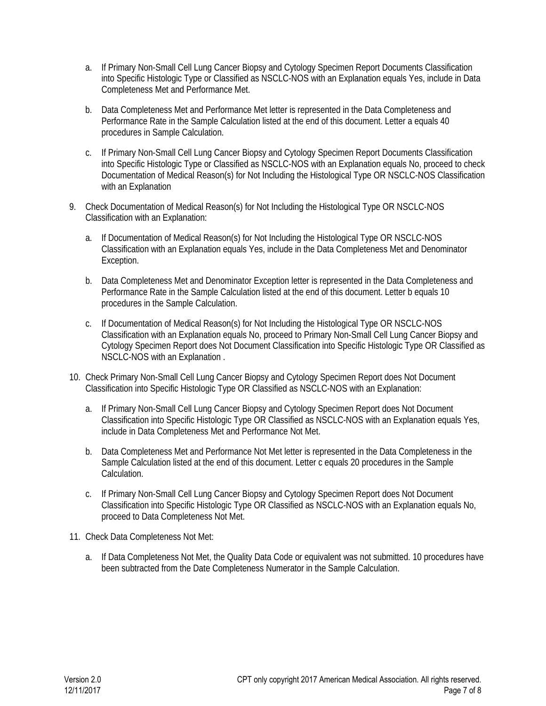- a. If Primary Non-Small Cell Lung Cancer Biopsy and Cytology Specimen Report Documents Classification into Specific Histologic Type or Classified as NSCLC-NOS with an Explanation equals Yes, include in Data Completeness Met and Performance Met.
- b. Data Completeness Met and Performance Met letter is represented in the Data Completeness and Performance Rate in the Sample Calculation listed at the end of this document. Letter a equals 40 procedures in Sample Calculation.
- c. If Primary Non-Small Cell Lung Cancer Biopsy and Cytology Specimen Report Documents Classification into Specific Histologic Type or Classified as NSCLC-NOS with an Explanation equals No, proceed to check Documentation of Medical Reason(s) for Not Including the Histological Type OR NSCLC-NOS Classification with an Explanation
- 9. Check Documentation of Medical Reason(s) for Not Including the Histological Type OR NSCLC-NOS Classification with an Explanation:
	- a. If Documentation of Medical Reason(s) for Not Including the Histological Type OR NSCLC-NOS Classification with an Explanation equals Yes, include in the Data Completeness Met and Denominator Exception.
	- b. Data Completeness Met and Denominator Exception letter is represented in the Data Completeness and Performance Rate in the Sample Calculation listed at the end of this document. Letter b equals 10 procedures in the Sample Calculation.
	- c. If Documentation of Medical Reason(s) for Not Including the Histological Type OR NSCLC-NOS Classification with an Explanation equals No, proceed to Primary Non-Small Cell Lung Cancer Biopsy and Cytology Specimen Report does Not Document Classification into Specific Histologic Type OR Classified as NSCLC-NOS with an Explanation .
- 10. Check Primary Non-Small Cell Lung Cancer Biopsy and Cytology Specimen Report does Not Document Classification into Specific Histologic Type OR Classified as NSCLC-NOS with an Explanation:
	- a. If Primary Non-Small Cell Lung Cancer Biopsy and Cytology Specimen Report does Not Document Classification into Specific Histologic Type OR Classified as NSCLC-NOS with an Explanation equals Yes, include in Data Completeness Met and Performance Not Met.
	- b. Data Completeness Met and Performance Not Met letter is represented in the Data Completeness in the Sample Calculation listed at the end of this document. Letter c equals 20 procedures in the Sample Calculation.
	- c. If Primary Non-Small Cell Lung Cancer Biopsy and Cytology Specimen Report does Not Document Classification into Specific Histologic Type OR Classified as NSCLC-NOS with an Explanation equals No, proceed to Data Completeness Not Met.
- 11. Check Data Completeness Not Met:
	- a. If Data Completeness Not Met, the Quality Data Code or equivalent was not submitted. 10 procedures have been subtracted from the Date Completeness Numerator in the Sample Calculation.